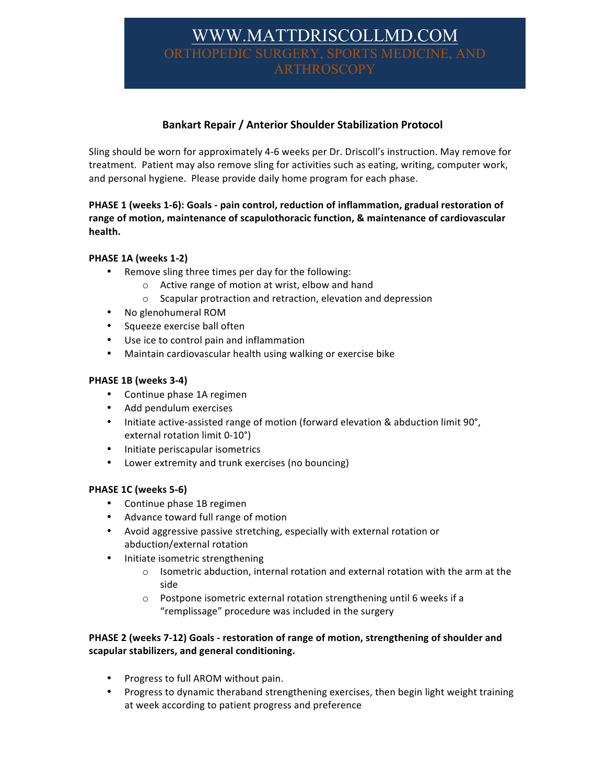# WWW.MATTDRISCOLLMD.CO THOPEDIC SURG ARTHROSCOPY

# **Bankart Repair / Anterior Shoulder Stabilization Protocol**

Sling should be worn for approximately 4-6 weeks per Dr. Driscoll's instruction. May remove for treatment. Patient may also remove sling for activities such as eating, writing, computer work, and personal hygiene. Please provide daily home program for each phase.

## PHASE 1 (weeks 1-6): Goals - pain control, reduction of inflammation, gradual restoration of range of motion, maintenance of scapulothoracic function, & maintenance of cardiovascular health.

## **PHASE 1A (weeks 1-2)**

- Remove sling three times per day for the following:
	- $\circ$  Active range of motion at wrist, elbow and hand
	- $\circ$  Scapular protraction and retraction, elevation and depression
- No glenohumeral ROM
- Squeeze exercise ball often
- Use ice to control pain and inflammation
- Maintain cardiovascular health using walking or exercise bike

#### **PHASE 1B (weeks 3-4)**

- Continue phase 1A regimen
- Add pendulum exercises
- Initiate active-assisted range of motion (forward elevation & abduction limit 90°, external rotation limit 0-10°)
- Initiate periscapular isometrics
- Lower extremity and trunk exercises (no bouncing)

#### **PHASE 1C (weeks 5-6)**

- Continue phase 1B regimen
- Advance toward full range of motion
- Avoid aggressive passive stretching, especially with external rotation or abduction/external rotation
- Initiate isometric strengthening
	- $\circ$  Isometric abduction, internal rotation and external rotation with the arm at the side
	- o Postpone isometric external rotation strengthening until 6 weeks if a "remplissage" procedure was included in the surgery

## PHASE 2 (weeks 7-12) Goals - restoration of range of motion, strengthening of shoulder and **scapular stabilizers, and general conditioning.**

- Progress to full AROM without pain.
- Progress to dynamic theraband strengthening exercises, then begin light weight training at week according to patient progress and preference